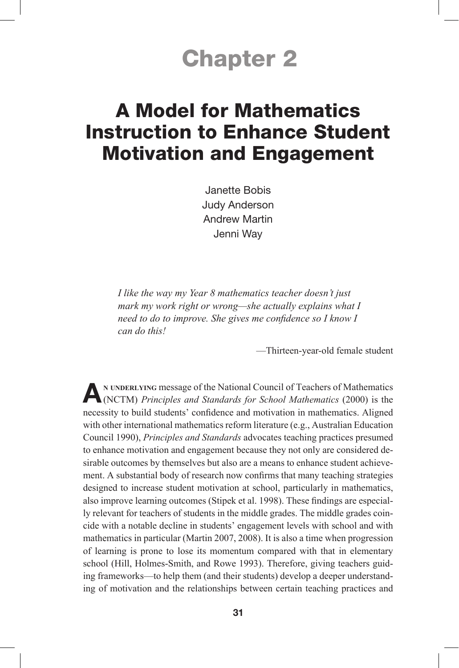# Chapter 2

## A Model for Mathematics Instruction to Enhance Student Motivation and Engagement

Janette Bobis Judy Anderson Andrew Martin Jenni Way

*I like the way my Year 8 mathematics teacher doesn't just mark my work right or wrong—she actually explains what I need to do to improve. She gives me confdence so I know I can do this!*

—Thirteen-year-old female student

A **<sup>N</sup> UNDERLYING** message of the National Council of Teachers of Mathematics (NCTM) *Principles and Standards for School Mathematics* (2000) is the necessity to build students' confdence and motivation in mathematics. Aligned with other international mathematics reform literature (e.g., Australian Education Council 1990), *Principles and Standards* advocates teaching practices presumed to enhance motivation and engagement because they not only are considered desirable outcomes by themselves but also are a means to enhance student achievement. A substantial body of research now confrms that many teaching strategies designed to increase student motivation at school, particularly in mathematics, also improve learning outcomes (Stipek et al. 1998). These fndings are especially relevant for teachers of students in the middle grades. The middle grades coincide with a notable decline in students' engagement levels with school and with mathematics in particular (Martin 2007, 2008). It is also a time when progression of learning is prone to lose its momentum compared with that in elementary school (Hill, Holmes-Smith, and Rowe 1993). Therefore, giving teachers guiding frameworks—to help them (and their students) develop a deeper understanding of motivation and the relationships between certain teaching practices and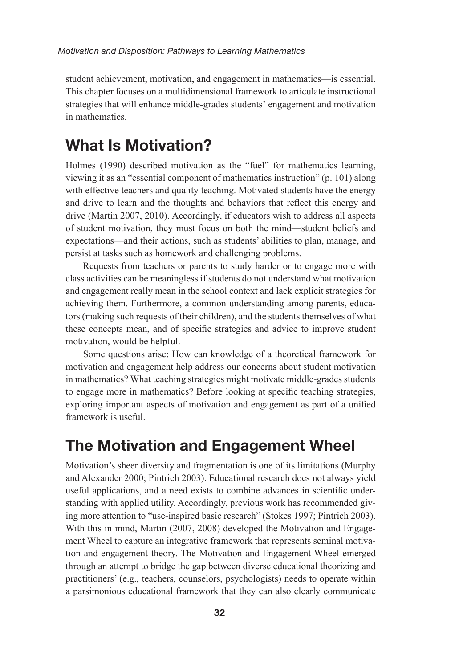student achievement, motivation, and engagement in mathematics—is essential. This chapter focuses on a multidimensional framework to articulate instructional strategies that will enhance middle-grades students' engagement and motivation in mathematics.

### What Is Motivation?

Holmes (1990) described motivation as the "fuel" for mathematics learning, viewing it as an "essential component of mathematics instruction" (p. 101) along with effective teachers and quality teaching. Motivated students have the energy and drive to learn and the thoughts and behaviors that refect this energy and drive (Martin 2007, 2010). Accordingly, if educators wish to address all aspects of student motivation, they must focus on both the mind—student beliefs and expectations—and their actions, such as students' abilities to plan, manage, and persist at tasks such as homework and challenging problems.

Requests from teachers or parents to study harder or to engage more with class activities can be meaningless if students do not understand what motivation and engagement really mean in the school context and lack explicit strategies for achieving them. Furthermore, a common understanding among parents, educators (making such requests of their children), and the students themselves of what these concepts mean, and of specifc strategies and advice to improve student motivation, would be helpful.

Some questions arise: How can knowledge of a theoretical framework for motivation and engagement help address our concerns about student motivation in mathematics? What teaching strategies might motivate middle-grades students to engage more in mathematics? Before looking at specifc teaching strategies, exploring important aspects of motivation and engagement as part of a unifed framework is useful.

### The Motivation and Engagement Wheel

Motivation's sheer diversity and fragmentation is one of its limitations (Murphy and Alexander 2000; Pintrich 2003). Educational research does not always yield useful applications, and a need exists to combine advances in scientifc understanding with applied utility. Accordingly, previous work has recommended giving more attention to "use-inspired basic research" (Stokes 1997; Pintrich 2003). With this in mind, Martin (2007, 2008) developed the Motivation and Engagement Wheel to capture an integrative framework that represents seminal motivation and engagement theory. The Motivation and Engagement Wheel emerged through an attempt to bridge the gap between diverse educational theorizing and practitioners' (e.g., teachers, counselors, psychologists) needs to operate within a parsimonious educational framework that they can also clearly communicate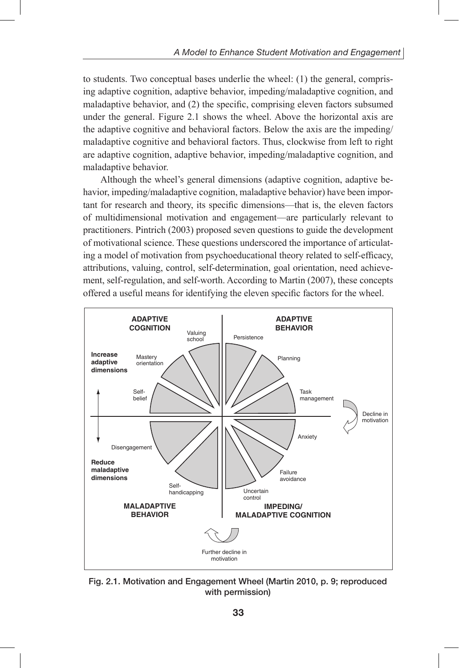to students. Two conceptual bases underlie the wheel: (1) the general, comprising adaptive cognition, adaptive behavior, impeding/maladaptive cognition, and maladaptive behavior, and (2) the specifc, comprising eleven factors subsumed under the general. Figure 2.1 shows the wheel. Above the horizontal axis are the adaptive cognitive and behavioral factors. Below the axis are the impeding/ maladaptive cognitive and behavioral factors. Thus, clockwise from left to right are adaptive cognition, adaptive behavior, impeding/maladaptive cognition, and maladaptive behavior.

Although the wheel's general dimensions (adaptive cognition, adaptive behavior, impeding/maladaptive cognition, maladaptive behavior) have been important for research and theory, its specifc dimensions—that is, the eleven factors of multidimensional motivation and engagement—are particularly relevant to practitioners. Pintrich (2003) proposed seven questions to guide the development of motivational science. These questions underscored the importance of articulating a model of motivation from psychoeducational theory related to self-effcacy, attributions, valuing, control, self-determination, goal orientation, need achievement, self-regulation, and self-worth. According to Martin (2007), these concepts offered a useful means for identifying the eleven specifc factors for the wheel.



Fig. 2.1. Motivation and Engagement Wheel (Martin 2010, p. 9; reproduced with permission)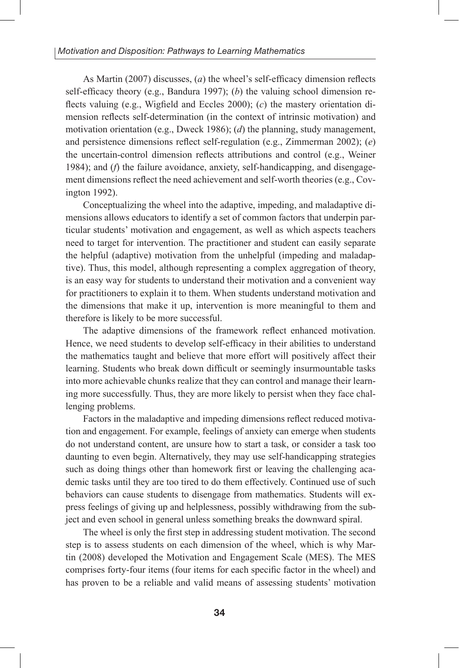As Martin (2007) discusses, (*a*) the wheel's self-efficacy dimension reflects self-effcacy theory (e.g., Bandura 1997); (*b*) the valuing school dimension refects valuing (e.g., Wigfeld and Eccles 2000); (*c*) the mastery orientation dimension refects self-determination (in the context of intrinsic motivation) and motivation orientation (e.g., Dweck 1986); (*d*) the planning, study management, and persistence dimensions refect self-regulation (e.g., Zimmerman 2002); (*e*) the uncertain-control dimension refects attributions and control (e.g., Weiner 1984); and (*f*) the failure avoidance, anxiety, self-handicapping, and disengagement dimensions refect the need achievement and self-worth theories (e.g., Covington 1992).

Conceptualizing the wheel into the adaptive, impeding, and maladaptive dimensions allows educators to identify a set of common factors that underpin particular students' motivation and engagement, as well as which aspects teachers need to target for intervention. The practitioner and student can easily separate the helpful (adaptive) motivation from the unhelpful (impeding and maladaptive). Thus, this model, although representing a complex aggregation of theory, is an easy way for students to understand their motivation and a convenient way for practitioners to explain it to them. When students understand motivation and the dimensions that make it up, intervention is more meaningful to them and therefore is likely to be more successful.

The adaptive dimensions of the framework refect enhanced motivation. Hence, we need students to develop self-efficacy in their abilities to understand the mathematics taught and believe that more effort will positively affect their learning. Students who break down diffcult or seemingly insurmountable tasks into more achievable chunks realize that they can control and manage their learning more successfully. Thus, they are more likely to persist when they face challenging problems.

Factors in the maladaptive and impeding dimensions refect reduced motivation and engagement. For example, feelings of anxiety can emerge when students do not understand content, are unsure how to start a task, or consider a task too daunting to even begin. Alternatively, they may use self-handicapping strategies such as doing things other than homework frst or leaving the challenging academic tasks until they are too tired to do them effectively. Continued use of such behaviors can cause students to disengage from mathematics. Students will express feelings of giving up and helplessness, possibly withdrawing from the subject and even school in general unless something breaks the downward spiral.

The wheel is only the frst step in addressing student motivation. The second step is to assess students on each dimension of the wheel, which is why Martin (2008) developed the Motivation and Engagement Scale (MES). The MES comprises forty-four items (four items for each specifc factor in the wheel) and has proven to be a reliable and valid means of assessing students' motivation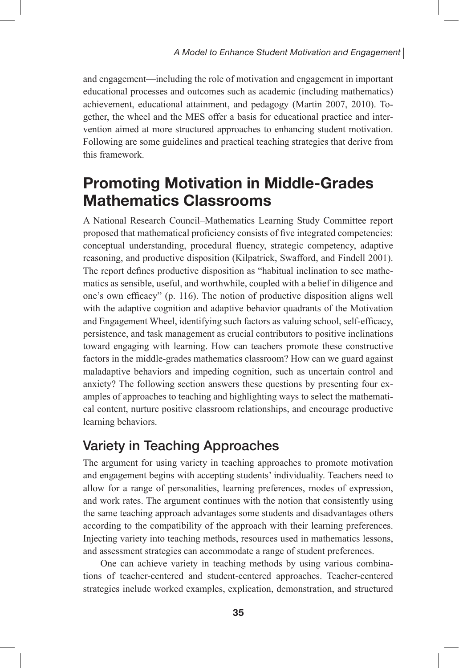and engagement—including the role of motivation and engagement in important educational processes and outcomes such as academic (including mathematics) achievement, educational attainment, and pedagogy (Martin 2007, 2010). Together, the wheel and the MES offer a basis for educational practice and intervention aimed at more structured approaches to enhancing student motivation. Following are some guidelines and practical teaching strategies that derive from this framework.

### Promoting Motivation in Middle-Grades Mathematics Classrooms

A National Research Council–Mathematics Learning Study Committee report proposed that mathematical profciency consists of fve integrated competencies: conceptual understanding, procedural fuency, strategic competency, adaptive reasoning, and productive disposition (Kilpatrick, Swafford, and Findell 2001). The report defnes productive disposition as "habitual inclination to see mathematics as sensible, useful, and worthwhile, coupled with a belief in diligence and one's own effcacy" (p. 116). The notion of productive disposition aligns well with the adaptive cognition and adaptive behavior quadrants of the Motivation and Engagement Wheel, identifying such factors as valuing school, self-effcacy, persistence, and task management as crucial contributors to positive inclinations toward engaging with learning. How can teachers promote these constructive factors in the middle-grades mathematics classroom? How can we guard against maladaptive behaviors and impeding cognition, such as uncertain control and anxiety? The following section answers these questions by presenting four examples of approaches to teaching and highlighting ways to select the mathematical content, nurture positive classroom relationships, and encourage productive learning behaviors.

### Variety in Teaching Approaches

The argument for using variety in teaching approaches to promote motivation and engagement begins with accepting students' individuality. Teachers need to allow for a range of personalities, learning preferences, modes of expression, and work rates. The argument continues with the notion that consistently using the same teaching approach advantages some students and disadvantages others according to the compatibility of the approach with their learning preferences. Injecting variety into teaching methods, resources used in mathematics lessons, and assessment strategies can accommodate a range of student preferences.

One can achieve variety in teaching methods by using various combinations of teacher-centered and student-centered approaches. Teacher-centered strategies include worked examples, explication, demonstration, and structured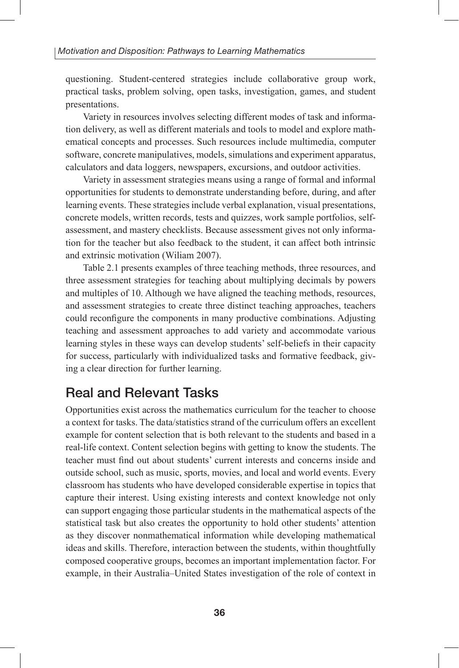questioning. Student-centered strategies include collaborative group work, practical tasks, problem solving, open tasks, investigation, games, and student presentations.

Variety in resources involves selecting different modes of task and information delivery, as well as different materials and tools to model and explore mathematical concepts and processes. Such resources include multimedia, computer software, concrete manipulatives, models, simulations and experiment apparatus, calculators and data loggers, newspapers, excursions, and outdoor activities.

Variety in assessment strategies means using a range of formal and informal opportunities for students to demonstrate understanding before, during, and after learning events. These strategies include verbal explanation, visual presentations, concrete models, written records, tests and quizzes, work sample portfolios, selfassessment, and mastery checklists. Because assessment gives not only information for the teacher but also feedback to the student, it can affect both intrinsic and extrinsic motivation (Wiliam 2007).

Table 2.1 presents examples of three teaching methods, three resources, and three assessment strategies for teaching about multiplying decimals by powers and multiples of 10. Although we have aligned the teaching methods, resources, and assessment strategies to create three distinct teaching approaches, teachers could reconfgure the components in many productive combinations. Adjusting teaching and assessment approaches to add variety and accommodate various learning styles in these ways can develop students' self-beliefs in their capacity for success, particularly with individualized tasks and formative feedback, giving a clear direction for further learning.

### Real and Relevant Tasks

Opportunities exist across the mathematics curriculum for the teacher to choose a context for tasks. The data/statistics strand of the curriculum offers an excellent example for content selection that is both relevant to the students and based in a real-life context. Content selection begins with getting to know the students. The teacher must fnd out about students' current interests and concerns inside and outside school, such as music, sports, movies, and local and world events. Every classroom has students who have developed considerable expertise in topics that capture their interest. Using existing interests and context knowledge not only can support engaging those particular students in the mathematical aspects of the statistical task but also creates the opportunity to hold other students' attention as they discover nonmathematical information while developing mathematical ideas and skills. Therefore, interaction between the students, within thoughtfully composed cooperative groups, becomes an important implementation factor. For example, in their Australia–United States investigation of the role of context in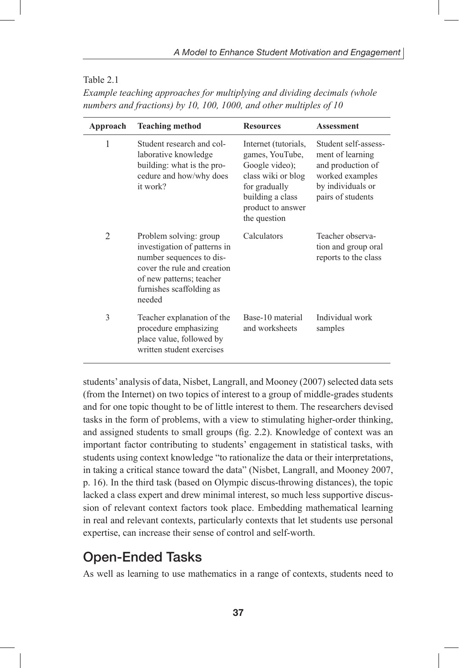#### Table 2.1

| Approach       | <b>Teaching method</b>                                                                                                                                                              | <b>Resources</b>                                                                                                                                          | <b>Assessment</b>                                                                                                          |
|----------------|-------------------------------------------------------------------------------------------------------------------------------------------------------------------------------------|-----------------------------------------------------------------------------------------------------------------------------------------------------------|----------------------------------------------------------------------------------------------------------------------------|
| 1              | Student research and col-<br>laborative knowledge<br>building: what is the pro-<br>cedure and how/why does<br>it work?                                                              | Internet (tutorials,<br>games, YouTube,<br>Google video);<br>class wiki or blog<br>for gradually<br>building a class<br>product to answer<br>the question | Student self-assess-<br>ment of learning<br>and production of<br>worked examples<br>by individuals or<br>pairs of students |
| $\overline{2}$ | Problem solving: group<br>investigation of patterns in<br>number sequences to dis-<br>cover the rule and creation<br>of new patterns; teacher<br>furnishes scaffolding as<br>needed | Calculators                                                                                                                                               | Teacher observa-<br>tion and group oral<br>reports to the class                                                            |
| 3              | Teacher explanation of the<br>procedure emphasizing<br>place value, followed by<br>written student exercises                                                                        | Base-10 material<br>and worksheets                                                                                                                        | Individual work<br>samples                                                                                                 |

*Example teaching approaches for multiplying and dividing decimals (whole numbers and fractions) by 10, 100, 1000, and other multiples of 10*

students' analysis of data, Nisbet, Langrall, and Mooney (2007) selected data sets (from the Internet) on two topics of interest to a group of middle-grades students and for one topic thought to be of little interest to them. The researchers devised tasks in the form of problems, with a view to stimulating higher-order thinking, and assigned students to small groups (fg. 2.2). Knowledge of context was an important factor contributing to students' engagement in statistical tasks, with students using context knowledge "to rationalize the data or their interpretations, in taking a critical stance toward the data" (Nisbet, Langrall, and Mooney 2007, p. 16). In the third task (based on Olympic discus-throwing distances), the topic lacked a class expert and drew minimal interest, so much less supportive discussion of relevant context factors took place. Embedding mathematical learning in real and relevant contexts, particularly contexts that let students use personal expertise, can increase their sense of control and self-worth.

### Open-Ended Tasks

As well as learning to use mathematics in a range of contexts, students need to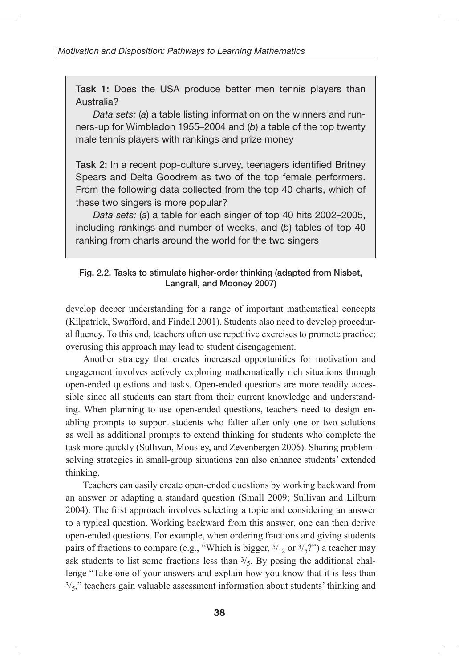Task 1: Does the USA produce better men tennis players than Australia?

*Data sets:* (*a*) a table listing information on the winners and runners-up for Wimbledon 1955–2004 and (*b*) a table of the top twenty male tennis players with rankings and prize money

Task 2: In a recent pop-culture survey, teenagers identified Britney Spears and Delta Goodrem as two of the top female performers. From the following data collected from the top 40 charts, which of these two singers is more popular?

*Data sets:* (*a*) a table for each singer of top 40 hits 2002–2005, including rankings and number of weeks, and (*b*) tables of top 40 ranking from charts around the world for the two singers

#### Fig. 2.2. Tasks to stimulate higher-order thinking (adapted from Nisbet, Langrall, and Mooney 2007)

develop deeper understanding for a range of important mathematical concepts (Kilpatrick, Swafford, and Findell 2001). Students also need to develop procedural fuency. To this end, teachers often use repetitive exercises to promote practice; overusing this approach may lead to student disengagement.

Another strategy that creates increased opportunities for motivation and engagement involves actively exploring mathematically rich situations through open-ended questions and tasks. Open-ended questions are more readily accessible since all students can start from their current knowledge and understanding. When planning to use open-ended questions, teachers need to design enabling prompts to support students who falter after only one or two solutions as well as additional prompts to extend thinking for students who complete the task more quickly (Sullivan, Mousley, and Zevenbergen 2006). Sharing problemsolving strategies in small-group situations can also enhance students' extended thinking.

Teachers can easily create open-ended questions by working backward from an answer or adapting a standard question (Small 2009; Sullivan and Lilburn 2004). The frst approach involves selecting a topic and considering an answer to a typical question. Working backward from this answer, one can then derive open-ended questions. For example, when ordering fractions and giving students pairs of fractions to compare (e.g., "Which is bigger,  $5/12$  or  $3/5$ ?") a teacher may ask students to list some fractions less than  $\frac{3}{5}$ . By posing the additional challenge "Take one of your answers and explain how you know that it is less than  $3/5$ ," teachers gain valuable assessment information about students' thinking and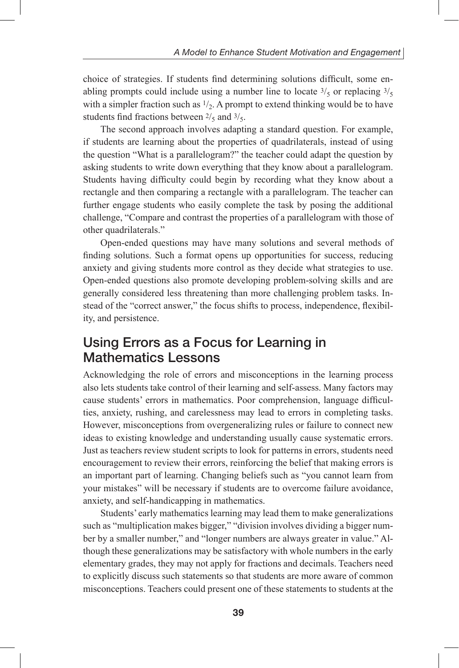choice of strategies. If students fnd determining solutions diffcult, some enabling prompts could include using a number line to locate  $\frac{3}{5}$  or replacing  $\frac{3}{5}$ with a simpler fraction such as  $\frac{1}{2}$ . A prompt to extend thinking would be to have students find fractions between  $2/\zeta$  and  $3/\zeta$ .

The second approach involves adapting a standard question. For example, if students are learning about the properties of quadrilaterals, instead of using the question "What is a parallelogram?" the teacher could adapt the question by asking students to write down everything that they know about a parallelogram. Students having diffculty could begin by recording what they know about a rectangle and then comparing a rectangle with a parallelogram. The teacher can further engage students who easily complete the task by posing the additional challenge, "Compare and contrast the properties of a parallelogram with those of other quadrilaterals."

Open-ended questions may have many solutions and several methods of fnding solutions. Such a format opens up opportunities for success, reducing anxiety and giving students more control as they decide what strategies to use. Open-ended questions also promote developing problem-solving skills and are generally considered less threatening than more challenging problem tasks. Instead of the "correct answer," the focus shifts to process, independence, fexibility, and persistence.

### Using Errors as a Focus for Learning in Mathematics Lessons

Acknowledging the role of errors and misconceptions in the learning process also lets students take control of their learning and self-assess. Many factors may cause students' errors in mathematics. Poor comprehension, language diffculties, anxiety, rushing, and carelessness may lead to errors in completing tasks. However, misconceptions from overgeneralizing rules or failure to connect new ideas to existing knowledge and understanding usually cause systematic errors. Just as teachers review student scripts to look for patterns in errors, students need encouragement to review their errors, reinforcing the belief that making errors is an important part of learning. Changing beliefs such as "you cannot learn from your mistakes" will be necessary if students are to overcome failure avoidance, anxiety, and self-handicapping in mathematics.

Students' early mathematics learning may lead them to make generalizations such as "multiplication makes bigger," "division involves dividing a bigger number by a smaller number," and "longer numbers are always greater in value." Although these generalizations may be satisfactory with whole numbers in the early elementary grades, they may not apply for fractions and decimals. Teachers need to explicitly discuss such statements so that students are more aware of common misconceptions. Teachers could present one of these statements to students at the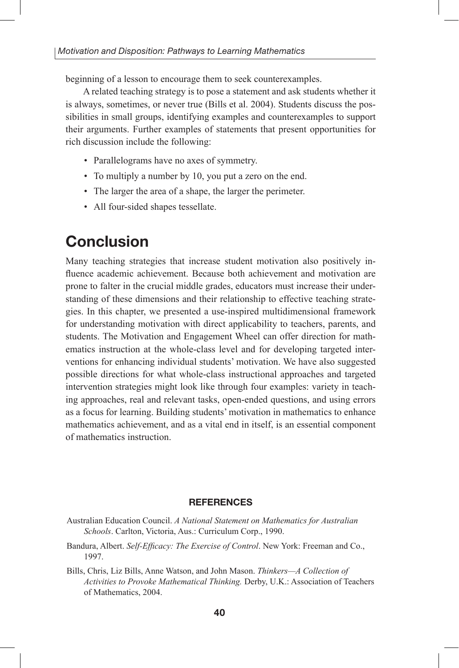beginning of a lesson to encourage them to seek counterexamples.

A related teaching strategy is to pose a statement and ask students whether it is always, sometimes, or never true (Bills et al. 2004). Students discuss the possibilities in small groups, identifying examples and counterexamples to support their arguments. Further examples of statements that present opportunities for rich discussion include the following:

- Parallelograms have no axes of symmetry.
- To multiply a number by 10, you put a zero on the end.
- The larger the area of a shape, the larger the perimeter.
- All four-sided shapes tessellate.

### Conclusion

Many teaching strategies that increase student motivation also positively infuence academic achievement. Because both achievement and motivation are prone to falter in the crucial middle grades, educators must increase their understanding of these dimensions and their relationship to effective teaching strategies. In this chapter, we presented a use-inspired multidimensional framework for understanding motivation with direct applicability to teachers, parents, and students. The Motivation and Engagement Wheel can offer direction for mathematics instruction at the whole-class level and for developing targeted interventions for enhancing individual students' motivation. We have also suggested possible directions for what whole-class instructional approaches and targeted intervention strategies might look like through four examples: variety in teaching approaches, real and relevant tasks, open-ended questions, and using errors as a focus for learning. Building students' motivation in mathematics to enhance mathematics achievement, and as a vital end in itself, is an essential component of mathematics instruction.

#### **REFERENCES**

- Australian Education Council. *A National Statement on Mathematics for Australian Schools*. Carlton, Victoria, Aus.: Curriculum Corp., 1990.
- Bandura, Albert. *Self-Effcacy: The Exercise of Control*. New York: Freeman and Co., 1997.
- Bills, Chris, Liz Bills, Anne Watson, and John Mason. *Thinkers—A Collection of Activities to Provoke Mathematical Thinking.* Derby, U.K.: Association of Teachers of Mathematics, 2004.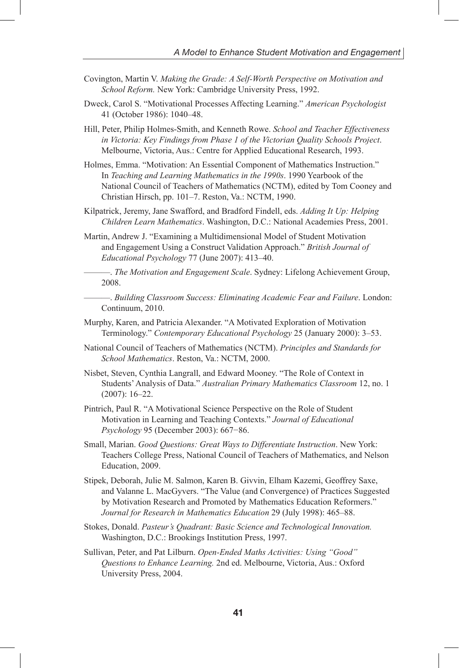- Covington, Martin V. *Making the Grade: A Self-Worth Perspective on Motivation and School Reform.* New York: Cambridge University Press, 1992.
- Dweck, Carol S. "Motivational Processes Affecting Learning." *American Psychologist* 41 (October 1986): 1040–48.
- Hill, Peter, Philip Holmes-Smith, and Kenneth Rowe. *School and Teacher Effectiveness in Victoria: Key Findings from Phase 1 of the Victorian Quality Schools Project*. Melbourne, Victoria, Aus.: Centre for Applied Educational Research, 1993.
- Holmes, Emma. "Motivation: An Essential Component of Mathematics Instruction." In *Teaching and Learning Mathematics in the 1990s*. 1990 Yearbook of the National Council of Teachers of Mathematics (NCTM), edited by Tom Cooney and Christian Hirsch, pp. 101–7. Reston, Va.: NCTM, 1990.
- Kilpatrick, Jeremy, Jane Swafford, and Bradford Findell, eds. *Adding It Up: Helping Children Learn Mathematics*. Washington, D.C.: National Academies Press, 2001.
- Martin, Andrew J. "Examining a Multidimensional Model of Student Motivation and Engagement Using a Construct Validation Approach." *British Journal of Educational Psychology* 77 (June 2007): 413–40.

———. *The Motivation and Engagement Scale*. Sydney: Lifelong Achievement Group, 2008.

- ———. *Building Classroom Success: Eliminating Academic Fear and Failure*. London: Continuum, 2010.
- Murphy, Karen, and Patricia Alexander. "A Motivated Exploration of Motivation Terminology." *Contemporary Educational Psychology* 25 (January 2000): 3–53.
- National Council of Teachers of Mathematics (NCTM). *Principles and Standards for School Mathematics*. Reston, Va.: NCTM, 2000.
- Nisbet, Steven, Cynthia Langrall, and Edward Mooney. "The Role of Context in Students' Analysis of Data." *Australian Primary Mathematics Classroom* 12, no. 1 (2007): 16–22.
- Pintrich, Paul R. "A Motivational Science Perspective on the Role of Student Motivation in Learning and Teaching Contexts." *Journal of Educational Psychology* 95 (December 2003): 667−86.
- Small, Marian. *Good Questions: Great Ways to Differentiate Instruction*. New York: Teachers College Press, National Council of Teachers of Mathematics, and Nelson Education, 2009.
- Stipek, Deborah, Julie M. Salmon, Karen B. Givvin, Elham Kazemi, Geoffrey Saxe, and Valanne L. MacGyvers. "The Value (and Convergence) of Practices Suggested by Motivation Research and Promoted by Mathematics Education Reformers." *Journal for Research in Mathematics Education* 29 (July 1998): 465–88.
- Stokes, Donald. *Pasteur's Quadrant: Basic Science and Technological Innovation.* Washington, D.C.: Brookings Institution Press, 1997.
- Sullivan, Peter, and Pat Lilburn. *Open-Ended Maths Activities: Using "Good" Questions to Enhance Learning.* 2nd ed. Melbourne, Victoria, Aus.: Oxford University Press, 2004.